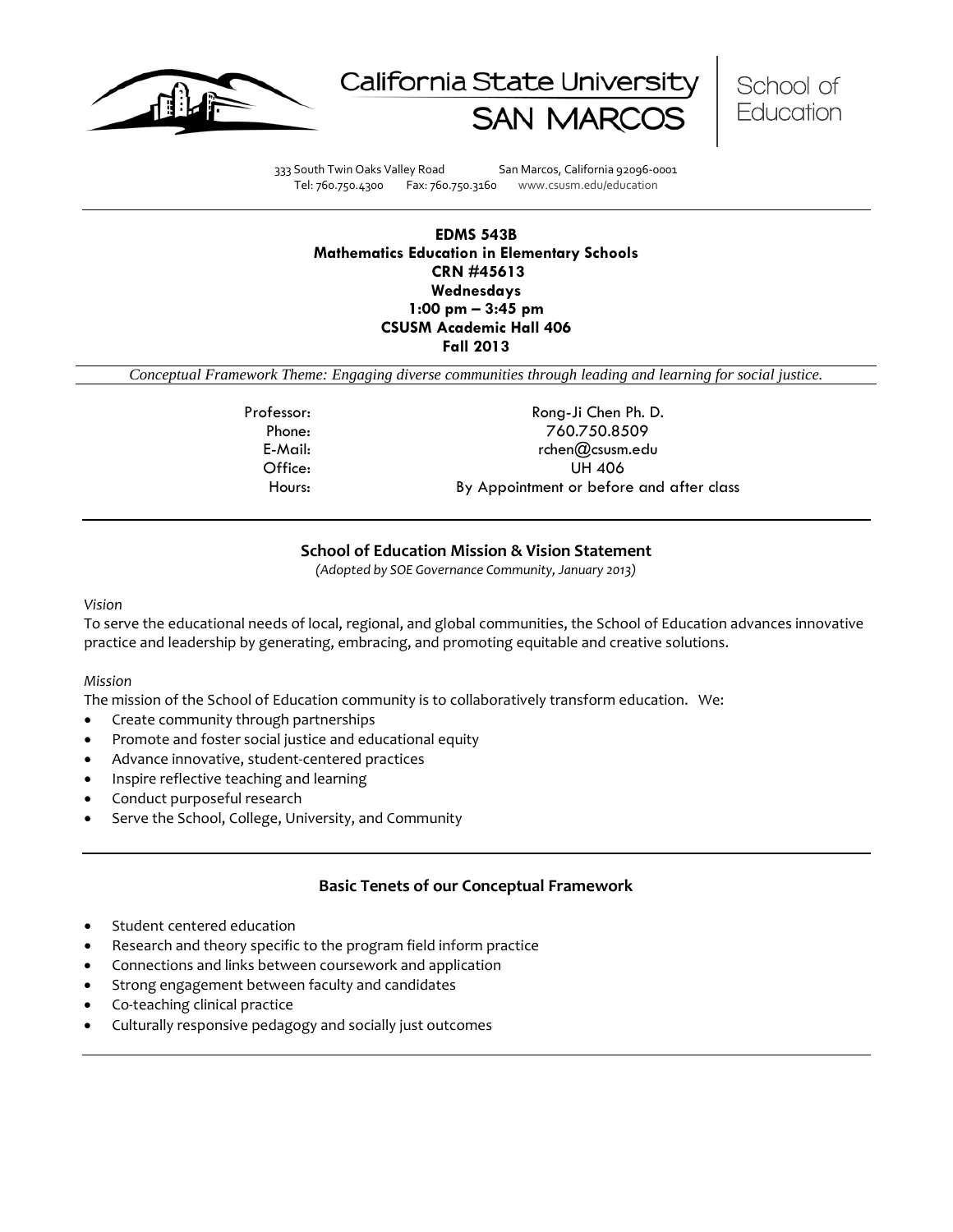





333 South Twin Oaks Valley Road San Marcos, California 92096-0001 Tel: 760.750.4300 Fax: 760.750.3160 www.csusm.edu/education

### **EDMS 543B Mathematics Education in Elementary Schools CRN #45613 Wednesdays 1:00 pm – 3:45 pm CSUSM Academic Hall 406 Fall 2013**

*Conceptual Framework Theme: Engaging diverse communities through leading and learning for social justice.*

Professor: Rong-Ji Chen Ph. D. Phone: 760.750.8509 E-Mail: rchen@csusm.edu Office: UH 406 Hours: By Appointment or before and after class

### **School of Education Mission & Vision Statement**

*(Adopted by SOE Governance Community, January 2013)*

*Vision*

To serve the educational needs of local, regional, and global communities, the School of Education advances innovative practice and leadership by generating, embracing, and promoting equitable and creative solutions.

### *Mission*

The mission of the School of Education community is to collaboratively transform education. We:

- Create community through partnerships
- Promote and foster social justice and educational equity
- Advance innovative, student-centered practices
- Inspire reflective teaching and learning
- Conduct purposeful research
- Serve the School, College, University, and Community

### **Basic Tenets of our Conceptual Framework**

- Student centered education
- Research and theory specific to the program field inform practice
- Connections and links between coursework and application
- Strong engagement between faculty and candidates
- Co-teaching clinical practice
- Culturally responsive pedagogy and socially just outcomes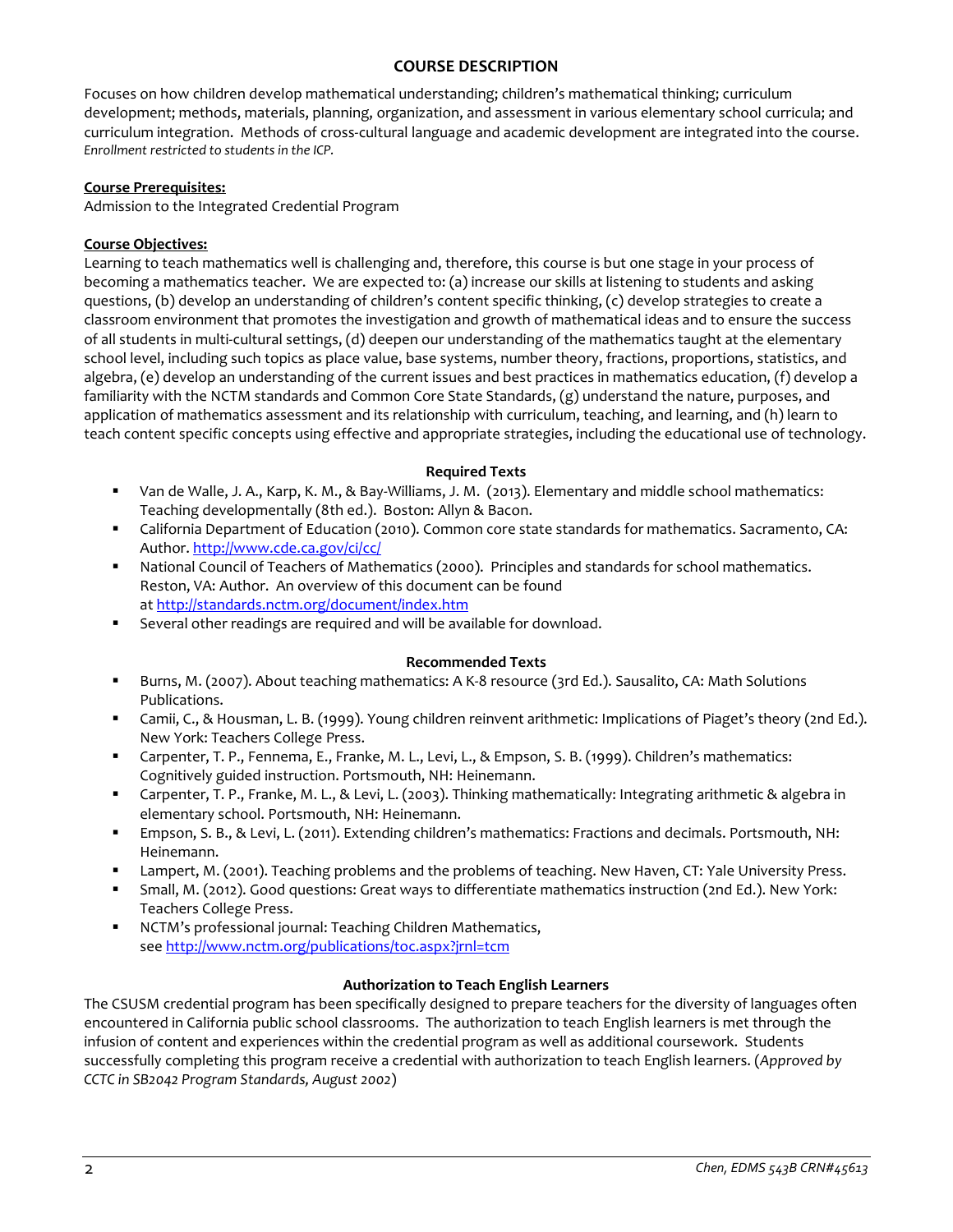## **COURSE DESCRIPTION**

Focuses on how children develop mathematical understanding; children's mathematical thinking; curriculum development; methods, materials, planning, organization, and assessment in various elementary school curricula; and curriculum integration. Methods of cross-cultural language and academic development are integrated into the course. *Enrollment restricted to students in the ICP.*

### **Course Prerequisites:**

Admission to the Integrated Credential Program

### **Course Objectives:**

Learning to teach mathematics well is challenging and, therefore, this course is but one stage in your process of becoming a mathematics teacher. We are expected to: (a) increase our skills at listening to students and asking questions, (b) develop an understanding of children's content specific thinking, (c) develop strategies to create a classroom environment that promotes the investigation and growth of mathematical ideas and to ensure the success of all students in multi-cultural settings, (d) deepen our understanding of the mathematics taught at the elementary school level, including such topics as place value, base systems, number theory, fractions, proportions, statistics, and algebra, (e) develop an understanding of the current issues and best practices in mathematics education, (f) develop a familiarity with the NCTM standards and Common Core State Standards, (g) understand the nature, purposes, and application of mathematics assessment and its relationship with curriculum, teaching, and learning, and (h) learn to teach content specific concepts using effective and appropriate strategies, including the educational use of technology.

### **Required Texts**

- Van de Walle, J. A., Karp, K. M., & Bay-Williams, J. M. (2013). Elementary and middle school mathematics: Teaching developmentally (8th ed.). Boston: Allyn & Bacon.
- California Department of Education (2010). Common core state standards for mathematics. Sacramento, CA: Author.<http://www.cde.ca.gov/ci/cc/>
- National Council of Teachers of Mathematics (2000). Principles and standards for school mathematics. Reston, VA: Author. An overview of this document can be found a[t http://standards.nctm.org/document/index.htm](http://standards.nctm.org/document/index.htm)
- Several other readings are required and will be available for download.

### **Recommended Texts**

- Burns, M. (2007). About teaching mathematics: A K-8 resource (3rd Ed.). Sausalito, CA: Math Solutions Publications.
- Camii, C., & Housman, L. B. (1999). Young children reinvent arithmetic: Implications of Piaget's theory (2nd Ed.). New York: Teachers College Press.
- Carpenter, T. P., Fennema, E., Franke, M. L., Levi, L., & Empson, S. B. (1999). Children's mathematics: Cognitively guided instruction. Portsmouth, NH: Heinemann.
- Carpenter, T. P., Franke, M. L., & Levi, L. (2003). Thinking mathematically: Integrating arithmetic & algebra in elementary school. Portsmouth, NH: Heinemann.
- Empson, S. B., & Levi, L. (2011). Extending children's mathematics: Fractions and decimals. Portsmouth, NH: Heinemann.
- Lampert, M. (2001). Teaching problems and the problems of teaching. New Haven, CT: Yale University Press.
- Small, M. (2012). Good questions: Great ways to differentiate mathematics instruction (2nd Ed.). New York: Teachers College Press.
- NCTM's professional journal: Teaching Children Mathematics, se[e http://www.nctm.org/publications/toc.aspx?jrnl=tcm](http://www.nctm.org/publications/toc.aspx?jrnl=tcm)

### **Authorization to Teach English Learners**

The CSUSM credential program has been specifically designed to prepare teachers for the diversity of languages often encountered in California public school classrooms. The authorization to teach English learners is met through the infusion of content and experiences within the credential program as well as additional coursework. Students successfully completing this program receive a credential with authorization to teach English learners. (*Approved by CCTC in SB2042 Program Standards, August 2002*)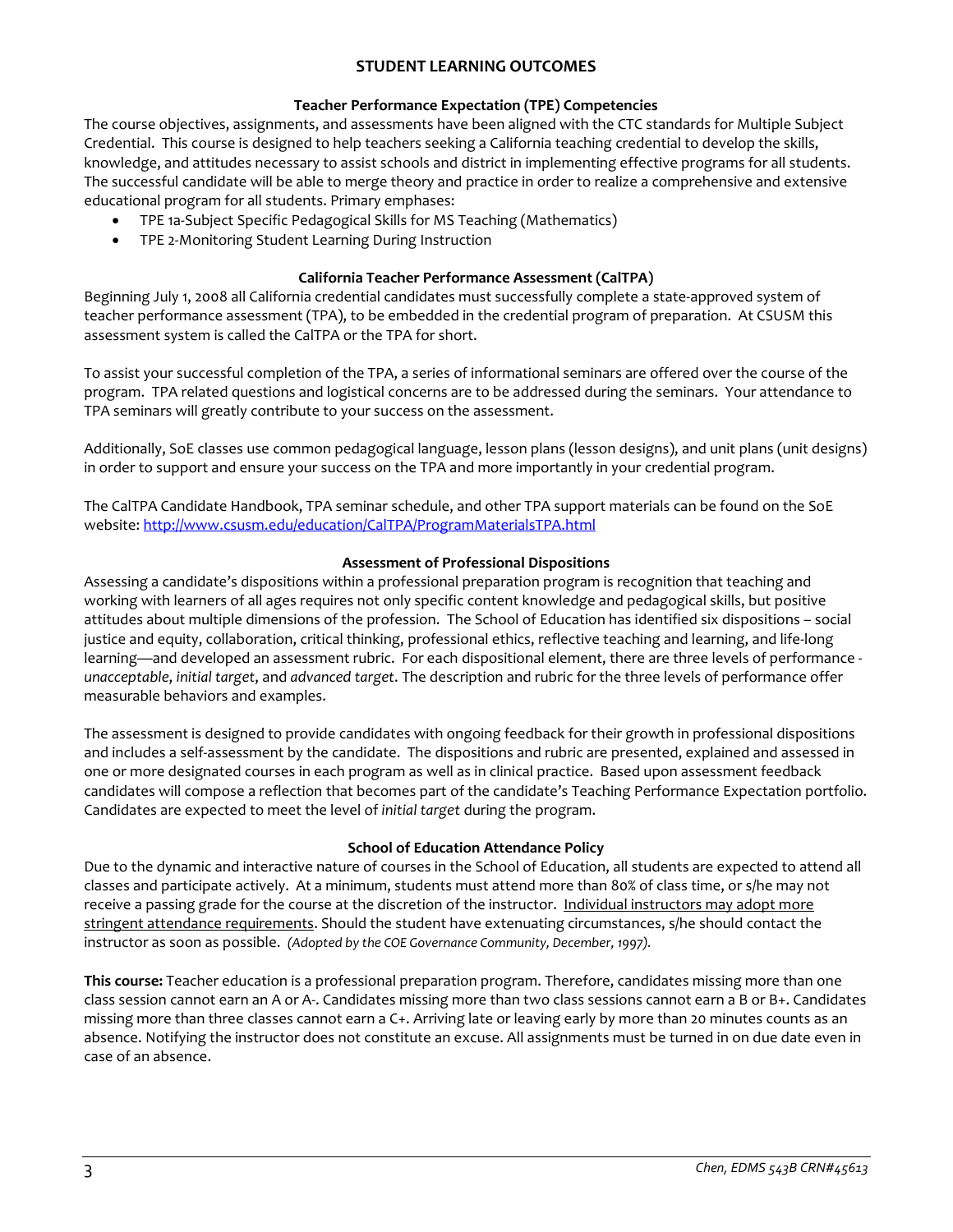## **STUDENT LEARNING OUTCOMES**

### **Teacher Performance Expectation (TPE) Competencies**

The course objectives, assignments, and assessments have been aligned with the CTC standards for Multiple Subject Credential. This course is designed to help teachers seeking a California teaching credential to develop the skills, knowledge, and attitudes necessary to assist schools and district in implementing effective programs for all students. The successful candidate will be able to merge theory and practice in order to realize a comprehensive and extensive educational program for all students. Primary emphases:

- TPE 1a-Subject Specific Pedagogical Skills for MS Teaching (Mathematics)
- TPE 2-Monitoring Student Learning During Instruction

### **California Teacher Performance Assessment (CalTPA)**

Beginning July 1, 2008 all California credential candidates must successfully complete a state-approved system of teacher performance assessment (TPA), to be embedded in the credential program of preparation. At CSUSM this assessment system is called the CalTPA or the TPA for short.

To assist your successful completion of the TPA, a series of informational seminars are offered over the course of the program. TPA related questions and logistical concerns are to be addressed during the seminars. Your attendance to TPA seminars will greatly contribute to your success on the assessment.

Additionally, SoE classes use common pedagogical language, lesson plans (lesson designs), and unit plans (unit designs) in order to support and ensure your success on the TPA and more importantly in your credential program.

The CalTPA Candidate Handbook, TPA seminar schedule, and other TPA support materials can be found on the SoE website[: http://www.csusm.edu/education/CalTPA/ProgramMaterialsTPA.html](http://www.csusm.edu/education/CalTPA/ProgramMaterialsTPA.html)

### **Assessment of Professional Dispositions**

Assessing a candidate's dispositions within a professional preparation program is recognition that teaching and working with learners of all ages requires not only specific content knowledge and pedagogical skills, but positive attitudes about multiple dimensions of the profession. The School of Education has identified six dispositions – social justice and equity, collaboration, critical thinking, professional ethics, reflective teaching and learning, and life-long learning—and developed an assessment rubric. For each dispositional element, there are three levels of performance *unacceptable*, *initial target*, and *advanced target*. The description and rubric for the three levels of performance offer measurable behaviors and examples.

The assessment is designed to provide candidates with ongoing feedback for their growth in professional dispositions and includes a self-assessment by the candidate. The dispositions and rubric are presented, explained and assessed in one or more designated courses in each program as well as in clinical practice. Based upon assessment feedback candidates will compose a reflection that becomes part of the candidate's Teaching Performance Expectation portfolio. Candidates are expected to meet the level of *initial target* during the program.

## **School of Education Attendance Policy**

Due to the dynamic and interactive nature of courses in the School of Education, all students are expected to attend all classes and participate actively. At a minimum, students must attend more than 80% of class time, or s/he may not receive a passing grade for the course at the discretion of the instructor. Individual instructors may adopt more stringent attendance requirements. Should the student have extenuating circumstances, s/he should contact the instructor as soon as possible. *(Adopted by the COE Governance Community, December, 1997).*

**This course:** Teacher education is a professional preparation program. Therefore, candidates missing more than one class session cannot earn an A or A-. Candidates missing more than two class sessions cannot earn a B or B+. Candidates missing more than three classes cannot earn a C+. Arriving late or leaving early by more than 20 minutes counts as an absence. Notifying the instructor does not constitute an excuse. All assignments must be turned in on due date even in case of an absence.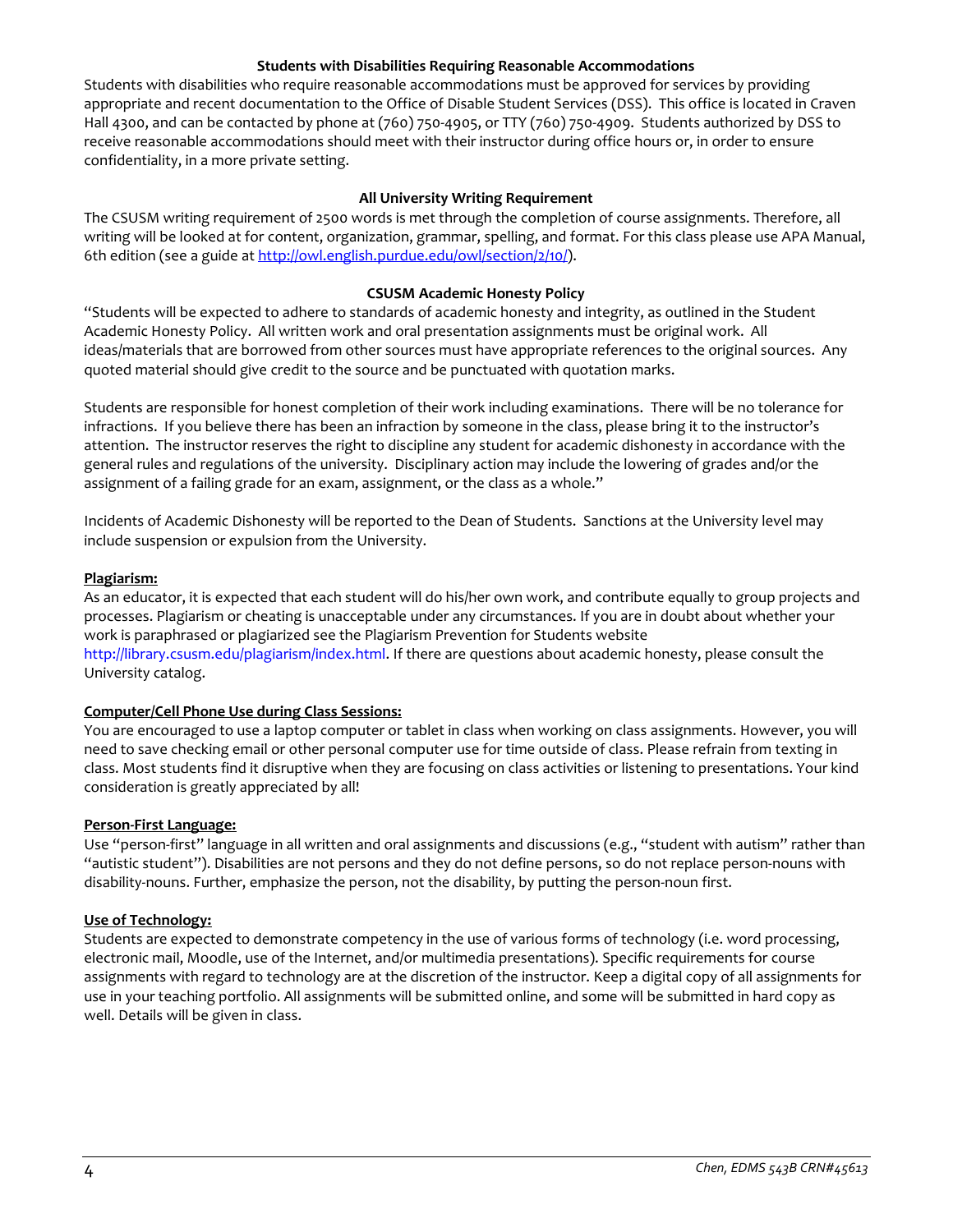### **Students with Disabilities Requiring Reasonable Accommodations**

Students with disabilities who require reasonable accommodations must be approved for services by providing appropriate and recent documentation to the Office of Disable Student Services (DSS). This office is located in Craven Hall 4300, and can be contacted by phone at (760) 750-4905, or TTY (760) 750-4909. Students authorized by DSS to receive reasonable accommodations should meet with their instructor during office hours or, in order to ensure confidentiality, in a more private setting.

### **All University Writing Requirement**

The CSUSM writing requirement of 2500 words is met through the completion of course assignments. Therefore, all writing will be looked at for content, organization, grammar, spelling, and format. For this class please use APA Manual, 6th edition (see a guide at [http://owl.english.purdue.edu/owl/section/2/10/\)](http://owl.english.purdue.edu/owl/section/2/10/).

#### **CSUSM Academic Honesty Policy**

"Students will be expected to adhere to standards of academic honesty and integrity, as outlined in the Student Academic Honesty Policy. All written work and oral presentation assignments must be original work. All ideas/materials that are borrowed from other sources must have appropriate references to the original sources. Any quoted material should give credit to the source and be punctuated with quotation marks.

Students are responsible for honest completion of their work including examinations. There will be no tolerance for infractions. If you believe there has been an infraction by someone in the class, please bring it to the instructor's attention. The instructor reserves the right to discipline any student for academic dishonesty in accordance with the general rules and regulations of the university. Disciplinary action may include the lowering of grades and/or the assignment of a failing grade for an exam, assignment, or the class as a whole."

Incidents of Academic Dishonesty will be reported to the Dean of Students. Sanctions at the University level may include suspension or expulsion from the University.

#### **Plagiarism:**

As an educator, it is expected that each student will do his/her own work, and contribute equally to group projects and processes. Plagiarism or cheating is unacceptable under any circumstances. If you are in doubt about whether your work is paraphrased or plagiarized see the Plagiarism Prevention for Students website http://library.csusm.edu/plagiarism/index.html. If there are questions about academic honesty, please consult the University catalog.

### **Computer/Cell Phone Use during Class Sessions:**

You are encouraged to use a laptop computer or tablet in class when working on class assignments. However, you will need to save checking email or other personal computer use for time outside of class. Please refrain from texting in class. Most students find it disruptive when they are focusing on class activities or listening to presentations. Your kind consideration is greatly appreciated by all!

#### **Person-First Language:**

Use "person-first" language in all written and oral assignments and discussions (e.g., "student with autism" rather than "autistic student"). Disabilities are not persons and they do not define persons, so do not replace person-nouns with disability-nouns. Further, emphasize the person, not the disability, by putting the person-noun first.

### **Use of Technology:**

Students are expected to demonstrate competency in the use of various forms of technology (i.e. word processing, electronic mail, Moodle, use of the Internet, and/or multimedia presentations). Specific requirements for course assignments with regard to technology are at the discretion of the instructor. Keep a digital copy of all assignments for use in your teaching portfolio. All assignments will be submitted online, and some will be submitted in hard copy as well. Details will be given in class.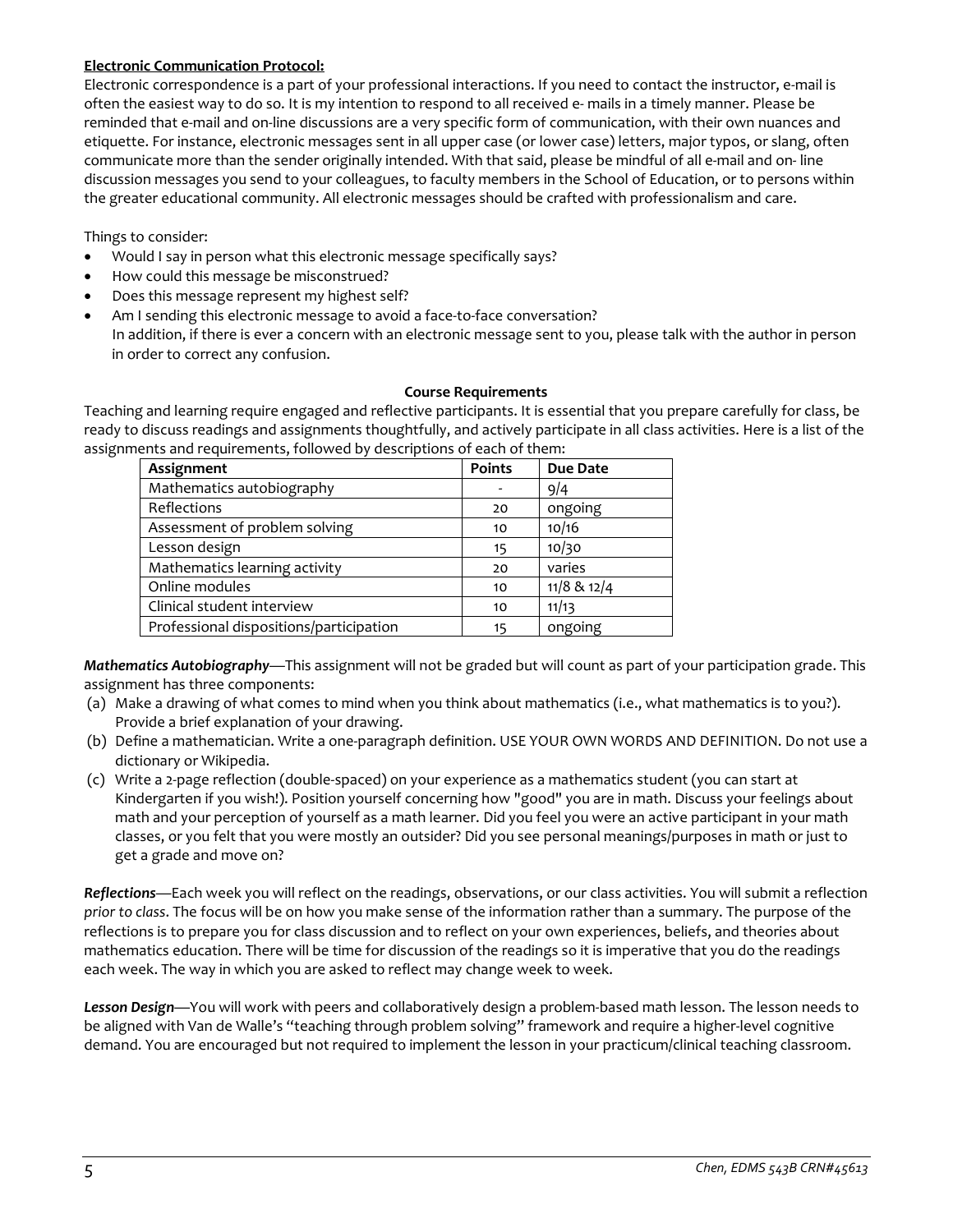### **Electronic Communication Protocol:**

Electronic correspondence is a part of your professional interactions. If you need to contact the instructor, e-mail is often the easiest way to do so. It is my intention to respond to all received e- mails in a timely manner. Please be reminded that e-mail and on-line discussions are a very specific form of communication, with their own nuances and etiquette. For instance, electronic messages sent in all upper case (or lower case) letters, major typos, or slang, often communicate more than the sender originally intended. With that said, please be mindful of all e-mail and on- line discussion messages you send to your colleagues, to faculty members in the School of Education, or to persons within the greater educational community. All electronic messages should be crafted with professionalism and care.

Things to consider:

- Would I say in person what this electronic message specifically says?
- How could this message be misconstrued?
- Does this message represent my highest self?
- Am I sending this electronic message to avoid a face-to-face conversation? In addition, if there is ever a concern with an electronic message sent to you, please talk with the author in person in order to correct any confusion.

#### **Course Requirements**

Teaching and learning require engaged and reflective participants. It is essential that you prepare carefully for class, be ready to discuss readings and assignments thoughtfully, and actively participate in all class activities. Here is a list of the assignments and requirements, followed by descriptions of each of them:

| Assignment                              | <b>Points</b> | <b>Due Date</b> |
|-----------------------------------------|---------------|-----------------|
| Mathematics autobiography               |               | 9/4             |
| Reflections                             | 20            | ongoing         |
| Assessment of problem solving           | 10            | 10/16           |
| Lesson design                           | 15            | 10/30           |
| Mathematics learning activity           | 20            | varies          |
| Online modules                          | 10            | $11/8$ & $12/4$ |
| Clinical student interview              | 10            | 11/13           |
| Professional dispositions/participation | 15            | ongoing         |

*Mathematics Autobiography*—This assignment will not be graded but will count as part of your participation grade. This assignment has three components:

- (a) Make a drawing of what comes to mind when you think about mathematics (i.e., what mathematics is to you?). Provide a brief explanation of your drawing.
- (b) Define a mathematician. Write a one-paragraph definition. USE YOUR OWN WORDS AND DEFINITION. Do not use a dictionary or Wikipedia.
- (c) Write a 2-page reflection (double-spaced) on your experience as a mathematics student (you can start at Kindergarten if you wish!). Position yourself concerning how "good" you are in math. Discuss your feelings about math and your perception of yourself as a math learner. Did you feel you were an active participant in your math classes, or you felt that you were mostly an outsider? Did you see personal meanings/purposes in math or just to get a grade and move on?

*Reflections*—Each week you will reflect on the readings, observations, or our class activities. You will submit a reflection *prior to class*. The focus will be on how you make sense of the information rather than a summary. The purpose of the reflections is to prepare you for class discussion and to reflect on your own experiences, beliefs, and theories about mathematics education. There will be time for discussion of the readings so it is imperative that you do the readings each week. The way in which you are asked to reflect may change week to week.

*Lesson Design*—You will work with peers and collaboratively design a problem-based math lesson. The lesson needs to be aligned with Van de Walle's "teaching through problem solving" framework and require a higher-level cognitive demand. You are encouraged but not required to implement the lesson in your practicum/clinical teaching classroom.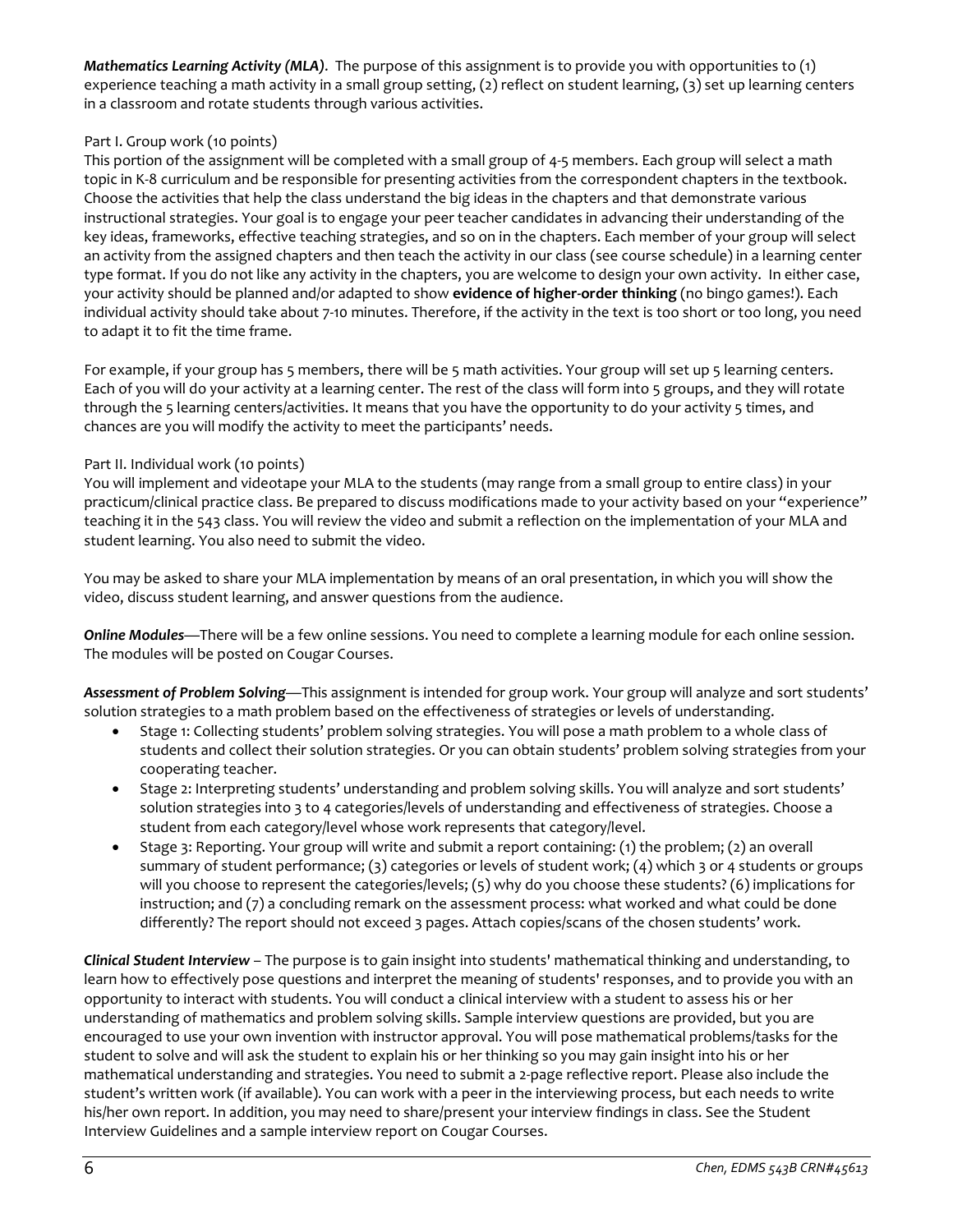*Mathematics Learning Activity (MLA)*. The purpose of this assignment is to provide you with opportunities to (1) experience teaching a math activity in a small group setting, (2) reflect on student learning, (3) set up learning centers in a classroom and rotate students through various activities.

## Part I. Group work (10 points)

This portion of the assignment will be completed with a small group of 4-5 members. Each group will select a math topic in K-8 curriculum and be responsible for presenting activities from the correspondent chapters in the textbook. Choose the activities that help the class understand the big ideas in the chapters and that demonstrate various instructional strategies. Your goal is to engage your peer teacher candidates in advancing their understanding of the key ideas, frameworks, effective teaching strategies, and so on in the chapters. Each member of your group will select an activity from the assigned chapters and then teach the activity in our class (see course schedule) in a learning center type format. If you do not like any activity in the chapters, you are welcome to design your own activity. In either case, your activity should be planned and/or adapted to show **evidence of higher-order thinking** (no bingo games!). Each individual activity should take about 7-10 minutes. Therefore, if the activity in the text is too short or too long, you need to adapt it to fit the time frame.

For example, if your group has 5 members, there will be 5 math activities. Your group will set up 5 learning centers. Each of you will do your activity at a learning center. The rest of the class will form into 5 groups, and they will rotate through the 5 learning centers/activities. It means that you have the opportunity to do your activity 5 times, and chances are you will modify the activity to meet the participants' needs.

## Part II. Individual work (10 points)

You will implement and videotape your MLA to the students (may range from a small group to entire class) in your practicum/clinical practice class. Be prepared to discuss modifications made to your activity based on your "experience" teaching it in the 543 class. You will review the video and submit a reflection on the implementation of your MLA and student learning. You also need to submit the video.

You may be asked to share your MLA implementation by means of an oral presentation, in which you will show the video, discuss student learning, and answer questions from the audience.

*Online Modules*—There will be a few online sessions. You need to complete a learning module for each online session. The modules will be posted on Cougar Courses.

*Assessment of Problem Solving*—This assignment is intended for group work. Your group will analyze and sort students' solution strategies to a math problem based on the effectiveness of strategies or levels of understanding.

- Stage 1: Collecting students' problem solving strategies. You will pose a math problem to a whole class of students and collect their solution strategies. Or you can obtain students' problem solving strategies from your cooperating teacher.
- Stage 2: Interpreting students' understanding and problem solving skills. You will analyze and sort students' solution strategies into 3 to 4 categories/levels of understanding and effectiveness of strategies. Choose a student from each category/level whose work represents that category/level.
- Stage 3: Reporting. Your group will write and submit a report containing: (1) the problem; (2) an overall summary of student performance; (3) categories or levels of student work; (4) which 3 or 4 students or groups will you choose to represent the categories/levels; (5) why do you choose these students? (6) implications for instruction; and (7) a concluding remark on the assessment process: what worked and what could be done differently? The report should not exceed 3 pages. Attach copies/scans of the chosen students' work.

*Clinical Student Interview* – The purpose is to gain insight into students' mathematical thinking and understanding, to learn how to effectively pose questions and interpret the meaning of students' responses, and to provide you with an opportunity to interact with students. You will conduct a clinical interview with a student to assess his or her understanding of mathematics and problem solving skills. Sample interview questions are provided, but you are encouraged to use your own invention with instructor approval. You will pose mathematical problems/tasks for the student to solve and will ask the student to explain his or her thinking so you may gain insight into his or her mathematical understanding and strategies. You need to submit a 2-page reflective report. Please also include the student's written work (if available). You can work with a peer in the interviewing process, but each needs to write his/her own report. In addition, you may need to share/present your interview findings in class. See the Student Interview Guidelines and a sample interview report on Cougar Courses.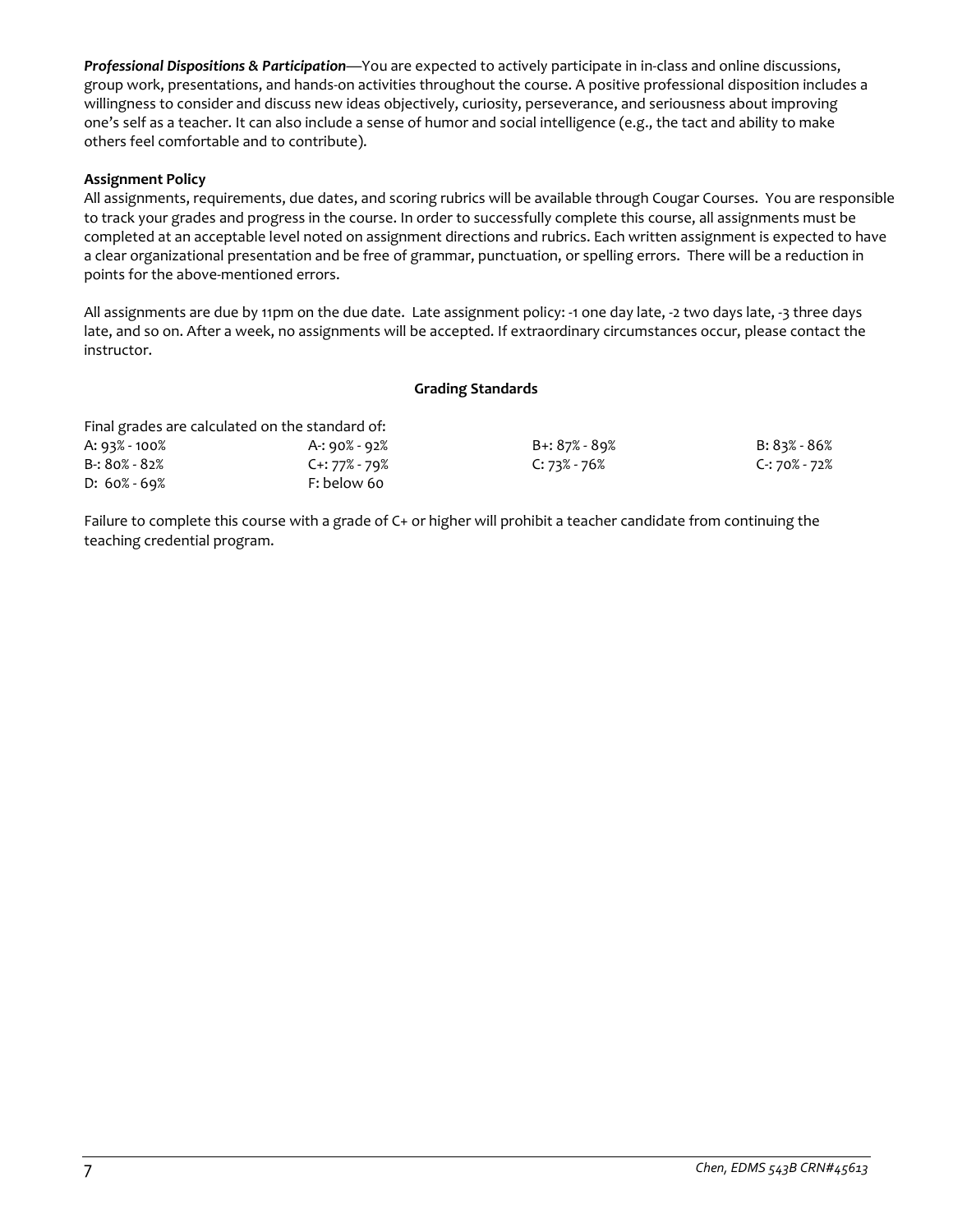*Professional Dispositions & Participation*—You are expected to actively participate in in-class and online discussions, group work, presentations, and hands-on activities throughout the course. A positive professional disposition includes a willingness to consider and discuss new ideas objectively, curiosity, perseverance, and seriousness about improving one's self as a teacher. It can also include a sense of humor and social intelligence (e.g., the tact and ability to make others feel comfortable and to contribute).

## **Assignment Policy**

All assignments, requirements, due dates, and scoring rubrics will be available through Cougar Courses. You are responsible to track your grades and progress in the course. In order to successfully complete this course, all assignments must be completed at an acceptable level noted on assignment directions and rubrics. Each written assignment is expected to have a clear organizational presentation and be free of grammar, punctuation, or spelling errors. There will be a reduction in points for the above-mentioned errors.

All assignments are due by 11pm on the due date. Late assignment policy: -1 one day late, -2 two days late, -3 three days late, and so on. After a week, no assignments will be accepted. If extraordinary circumstances occur, please contact the instructor.

### **Grading Standards**

| Final grades are calculated on the standard of: |               |                  |               |
|-------------------------------------------------|---------------|------------------|---------------|
| A: 93% - 100%                                   | A-: 90% - 92% | B+: 87% - 89%    | B: 83% - 86%  |
| B-: 80% - 82%                                   | C+: 77% - 79% | $C: 73\% - 76\%$ | C-: 70% - 72% |
| $D: 60\% - 69\%$                                | F: below 60   |                  |               |

Failure to complete this course with a grade of C+ or higher will prohibit a teacher candidate from continuing the teaching credential program.